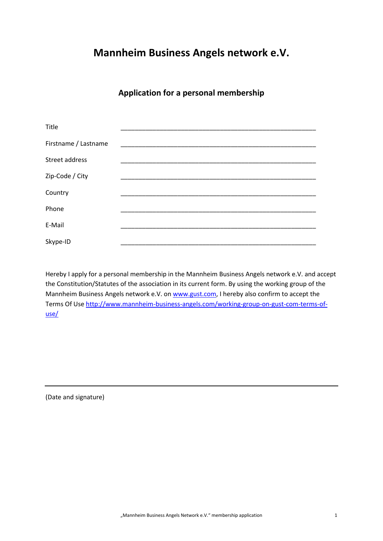## **Mannheim Business Angels network e.V.**

## **Application for a personal membership**

| Title                |  |
|----------------------|--|
| Firstname / Lastname |  |
| Street address       |  |
| Zip-Code / City      |  |
| Country              |  |
| Phone                |  |
| E-Mail               |  |
| Skype-ID             |  |

Hereby I apply for a personal membership in the Mannheim Business Angels network e.V. and accept the Constitution/Statutes of the association in its current form. By using the working group of the Mannheim Business Angels network e.V. on [www.gust.com,](http://www.gust.com/) I hereby also confirm to accept the Terms Of Use [http://www.mannheim-business-angels.com/working-group-on-gust-com-terms-of](http://www.mannheim-business-angels.com/working-group-on-gust-com-terms-of-use/)[use/](http://www.mannheim-business-angels.com/working-group-on-gust-com-terms-of-use/)

(Date and signature)